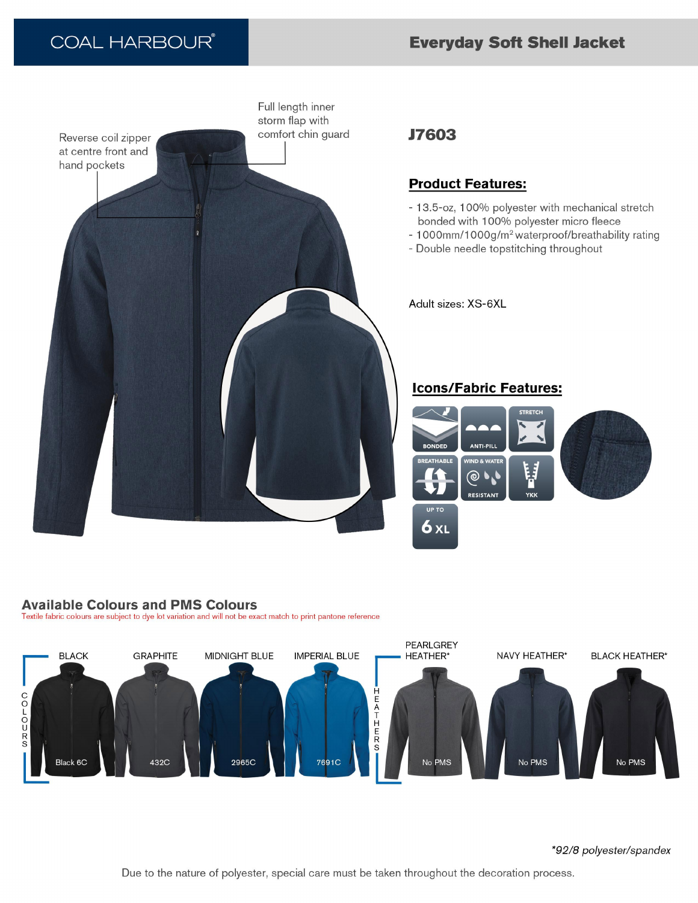# **Everyday Soft Shell Jacket**

# **COAL HARBOUR®**



# **J7603**

## **Product Features:**

- 13.5-oz, 100% polyester with mechanical stretch bonded with 100% polyester micro fleece
- 1000mm/1000g/m<sup>2</sup> waterproof/breathability rating
- Double needle topstitching throughout

Adult sizes: XS-6XL

## **Icons/Fabric Features:**



#### **Available Colours and PMS Colours**

Textile fabric colours are subject to dye lot variation and will not be exact match to print pantone reference



\*92/8 polyester/spandex